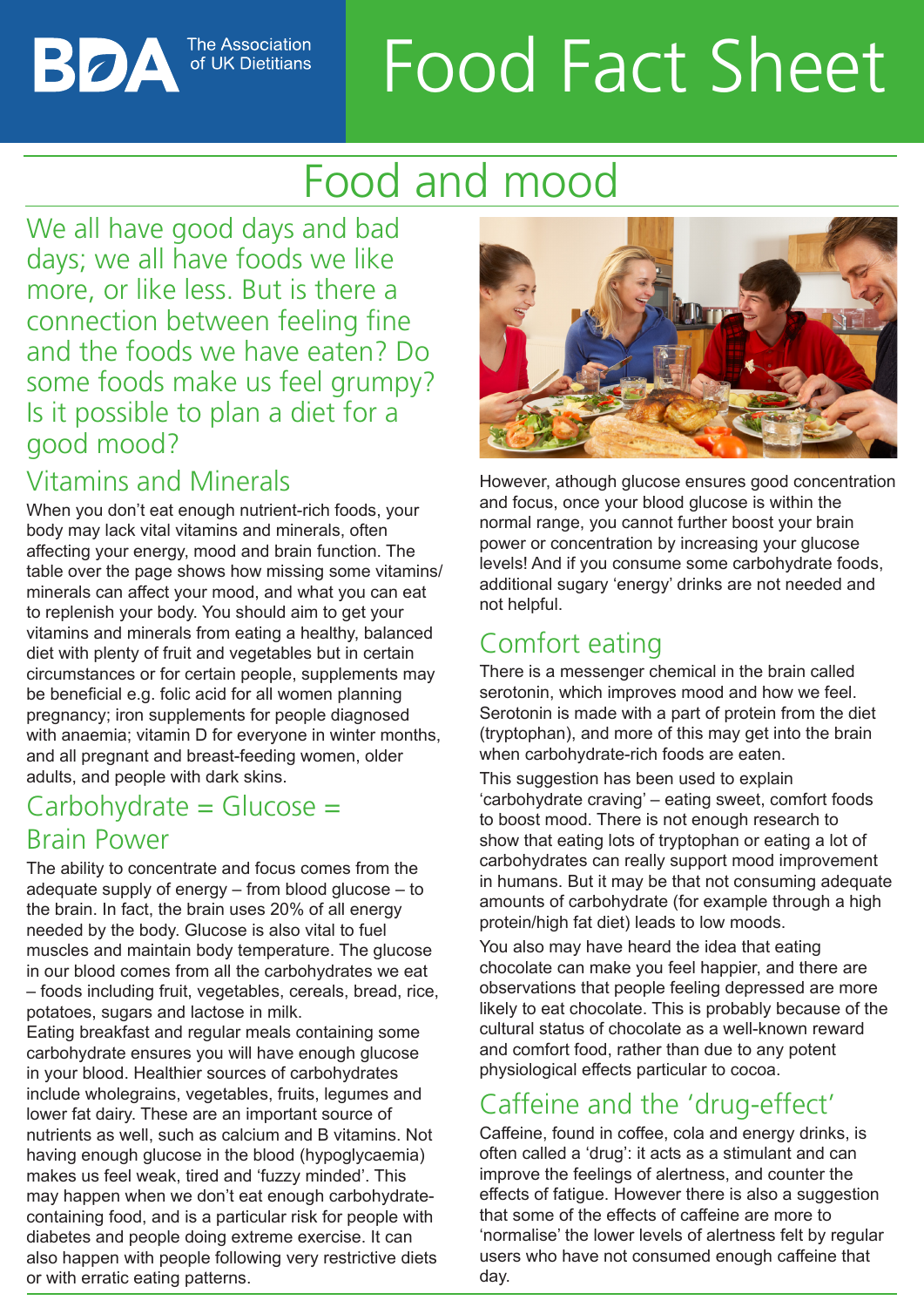# Food Fact Sheet

# Food and mood

We all have good days and bad days; we all have foods we like more, or like less. But is there a connection between feeling fine and the foods we have eaten? Do some foods make us feel grumpy? Is it possible to plan a diet for a good mood?

**The Association** 

# Vitamins and Minerals

When you don't eat enough nutrient-rich foods, your body may lack vital vitamins and minerals, often affecting your energy, mood and brain function. The table over the page shows how missing some vitamins/ minerals can affect your mood, and what you can eat to replenish your body. You should aim to get your vitamins and minerals from eating a healthy, balanced diet with plenty of fruit and vegetables but in certain circumstances or for certain people, supplements may be beneficial e.g. folic acid for all women planning pregnancy; iron supplements for people diagnosed with anaemia; vitamin D for everyone in winter months, and all pregnant and breast-feeding women, older adults, and people with dark skins.

## $Carbohydrate = Glucose =$ Brain Power

The ability to concentrate and focus comes from the adequate supply of energy – from blood glucose – to the brain. In fact, the brain uses 20% of all energy needed by the body. Glucose is also vital to fuel muscles and maintain body temperature. The glucose in our blood comes from all the carbohydrates we eat – foods including fruit, vegetables, cereals, bread, rice, potatoes, sugars and lactose in milk.

Eating breakfast and regular meals containing some carbohydrate ensures you will have enough glucose in your blood. Healthier sources of carbohydrates include wholegrains, vegetables, fruits, legumes and lower fat dairy. These are an important source of nutrients as well, such as calcium and B vitamins. Not having enough glucose in the blood (hypoglycaemia) makes us feel weak, tired and 'fuzzy minded'. This may happen when we don't eat enough carbohydratecontaining food, and is a particular risk for people with diabetes and people doing extreme exercise. It can also happen with people following very restrictive diets or with erratic eating patterns.



However, athough glucose ensures good concentration and focus, once your blood glucose is within the normal range, you cannot further boost your brain power or concentration by increasing your glucose levels! And if you consume some carbohydrate foods, additional sugary 'energy' drinks are not needed and not helpful.

# Comfort eating

There is a messenger chemical in the brain called serotonin, which improves mood and how we feel. Serotonin is made with a part of protein from the diet (tryptophan), and more of this may get into the brain when carbohydrate-rich foods are eaten.

This suggestion has been used to explain 'carbohydrate craving' – eating sweet, comfort foods to boost mood. There is not enough research to show that eating lots of tryptophan or eating a lot of carbohydrates can really support mood improvement in humans. But it may be that not consuming adequate amounts of carbohydrate (for example through a high protein/high fat diet) leads to low moods.

You also may have heard the idea that eating chocolate can make you feel happier, and there are observations that people feeling depressed are more likely to eat chocolate. This is probably because of the cultural status of chocolate as a well-known reward and comfort food, rather than due to any potent physiological effects particular to cocoa.

# Caffeine and the 'drug-effect'

Caffeine, found in coffee, cola and energy drinks, is often called a 'drug': it acts as a stimulant and can improve the feelings of alertness, and counter the effects of fatigue. However there is also a suggestion that some of the effects of caffeine are more to 'normalise' the lower levels of alertness felt by regular users who have not consumed enough caffeine that day.